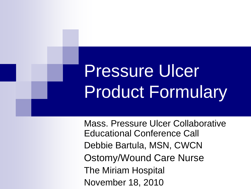# Pressure Ulcer Product Formulary

Mass. Pressure Ulcer Collaborative Educational Conference Call Debbie Bartula, MSN, CWCN Ostomy/Wound Care Nurse The Miriam Hospital November 18, 2010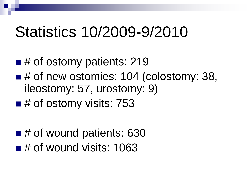#### Statistics 10/2009-9/2010

- $\blacksquare$  # of ostomy patients: 219
- $\blacksquare$  # of new ostomies: 104 (colostomy: 38, ileostomy: 57, urostomy: 9)
- $\blacksquare$  # of ostomy visits: 753
- # of wound patients: 630  $\blacksquare$  # of wound visits: 1063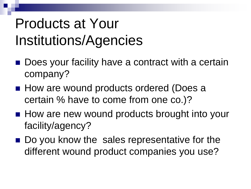#### Products at Your Institutions/Agencies

- Does your facility have a contract with a certain company?
- How are wound products ordered (Does a certain % have to come from one co.)?
- **How are new wound products brought into your** facility/agency?
- Do you know the sales representative for the different wound product companies you use?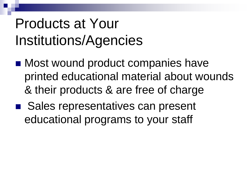#### Products at Your Institutions/Agencies

- Most wound product companies have printed educational material about wounds & their products & are free of charge
- Sales representatives can present educational programs to your staff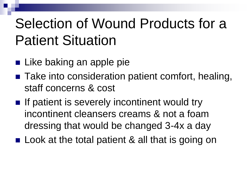#### Selection of Wound Products for a Patient Situation

- **Like baking an apple pie**
- Take into consideration patient comfort, healing, staff concerns & cost
- $\blacksquare$  If patient is severely incontinent would try incontinent cleansers creams & not a foam dressing that would be changed 3-4x a day
- Look at the total patient & all that is going on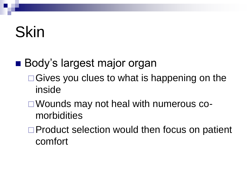## Skin

#### ■ Body's largest major organ

- $\Box$  Gives you clues to what is happening on the inside
- □ Wounds may not heal with numerous comorbidities
- □ Product selection would then focus on patient comfort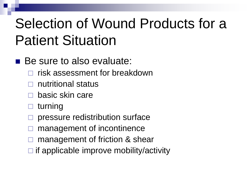#### Selection of Wound Products for a Patient Situation

#### Be sure to also evaluate:

- risk assessment for breakdown
- nutritional status
- basic skin care
- turning
- pressure redistribution surface
- management of incontinence
- management of friction & shear
- $\Box$  if applicable improve mobility/activity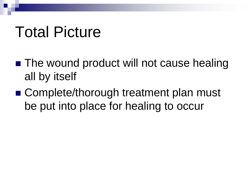#### Total Picture

- The wound product will not cause healing all by itself
- Complete/thorough treatment plan must be put into place for healing to occur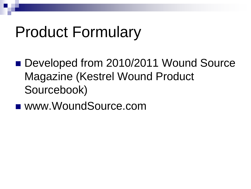## Product Formulary

- Developed from 2010/2011 Wound Source Magazine (Kestrel Wound Product Sourcebook)
- www.WoundSource.com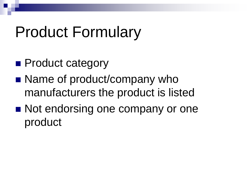## Product Formulary

- **Product category**
- Name of product/company who manufacturers the product is listed
- Not endorsing one company or one product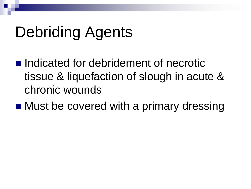## Debriding Agents

- **Indicated for debridement of necrotic** tissue & liquefaction of slough in acute & chronic wounds
- Must be covered with a primary dressing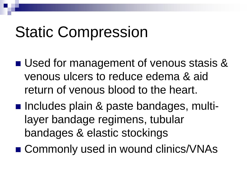## Static Compression

- Used for management of venous stasis & venous ulcers to reduce edema & aid return of venous blood to the heart.
- Includes plain & paste bandages, multilayer bandage regimens, tubular bandages & elastic stockings
- Commonly used in wound clinics/VNAs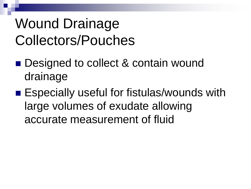#### Wound Drainage Collectors/Pouches

- Designed to collect & contain wound drainage
- Especially useful for fistulas/wounds with large volumes of exudate allowing accurate measurement of fluid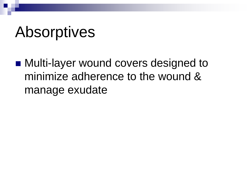#### Absorptives

■ Multi-layer wound covers designed to minimize adherence to the wound & manage exudate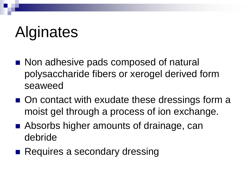## Alginates

- Non adhesive pads composed of natural polysaccharide fibers or xerogel derived form seaweed
- On contact with exudate these dressings form a moist gel through a process of ion exchange.
- Absorbs higher amounts of drainage, can debride
- Requires a secondary dressing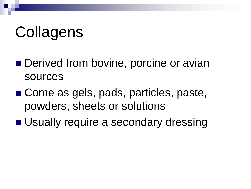## **Collagens**

- Derived from bovine, porcine or avian sources
- Come as gels, pads, particles, paste, powders, sheets or solutions
- Usually require a secondary dressing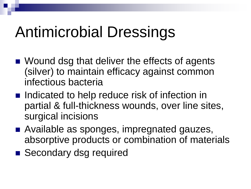## Antimicrobial Dressings

- Wound dsg that deliver the effects of agents (silver) to maintain efficacy against common infectious bacteria
- Indicated to help reduce risk of infection in partial & full-thickness wounds, over line sites, surgical incisions
- Available as sponges, impregnated gauzes, absorptive products or combination of materials
- Secondary dsg required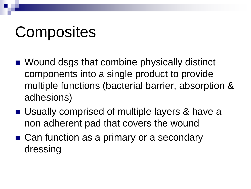## **Composites**

- Wound dsgs that combine physically distinct components into a single product to provide multiple functions (bacterial barrier, absorption & adhesions)
- Usually comprised of multiple layers & have a non adherent pad that covers the wound
- Can function as a primary or a secondary dressing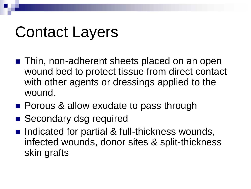## Contact Layers

- Thin, non-adherent sheets placed on an open wound bed to protect tissue from direct contact with other agents or dressings applied to the wound.
- **Porous & allow exudate to pass through**
- Secondary dsg required
- Indicated for partial & full-thickness wounds, infected wounds, donor sites & split-thickness skin grafts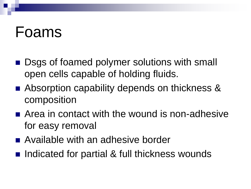#### Foams

- Dsgs of foamed polymer solutions with small open cells capable of holding fluids.
- Absorption capability depends on thickness & composition
- **E** Area in contact with the wound is non-adhesive for easy removal
- Available with an adhesive border
- Indicated for partial & full thickness wounds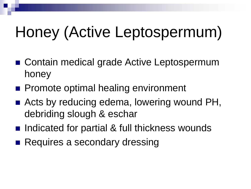## Honey (Active Leptospermum)

- Contain medical grade Active Leptospermum honey
- **Promote optimal healing environment**
- Acts by reducing edema, lowering wound PH, debriding slough & eschar
- Indicated for partial & full thickness wounds
- Requires a secondary dressing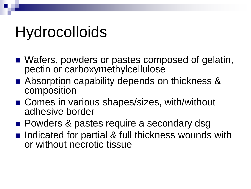## **Hydrocolloids**

- Wafers, powders or pastes composed of gelatin, pectin or carboxymethylcellulose
- Absorption capability depends on thickness & composition
- Comes in various shapes/sizes, with/without adhesive border
- **Powders & pastes require a secondary dsg**
- Indicated for partial & full thickness wounds with or without necrotic tissue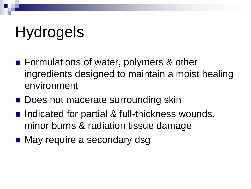## Hydrogels

- Formulations of water, polymers & other ingredients designed to maintain a moist healing environment
- Does not macerate surrounding skin
- Indicated for partial & full-thickness wounds, minor burns & radiation tissue damage
- May require a secondary dsg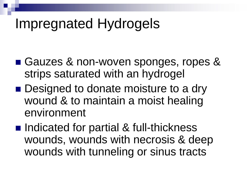#### Impregnated Hydrogels

- Gauzes & non-woven sponges, ropes & strips saturated with an hydrogel
- Designed to donate moisture to a dry wound & to maintain a moist healing environment
- Indicated for partial & full-thickness wounds, wounds with necrosis & deep wounds with tunneling or sinus tracts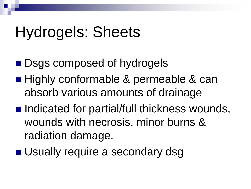## Hydrogels: Sheets

- Dsgs composed of hydrogels
- Highly conformable & permeable & can absorb various amounts of drainage
- Indicated for partial/full thickness wounds, wounds with necrosis, minor burns & radiation damage.
- **Usually require a secondary dsg**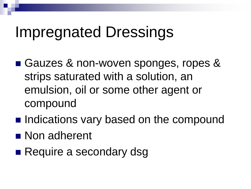## Impregnated Dressings

- Gauzes & non-woven sponges, ropes & strips saturated with a solution, an emulsion, oil or some other agent or compound
- **Indications vary based on the compound**
- Non adherent
- Require a secondary dsg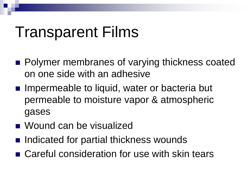## Transparent Films

- Polymer membranes of varying thickness coated on one side with an adhesive
- Impermeable to liquid, water or bacteria but permeable to moisture vapor & atmospheric gases
- Wound can be visualized
- Indicated for partial thickness wounds
- Careful consideration for use with skin tears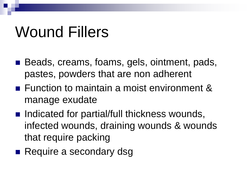## Wound Fillers

- Beads, creams, foams, gels, ointment, pads, pastes, powders that are non adherent
- **Function to maintain a moist environment &** manage exudate
- Indicated for partial/full thickness wounds, infected wounds, draining wounds & wounds that require packing
- Require a secondary dsg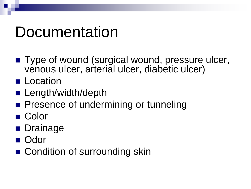## Documentation

- Type of wound (surgical wound, pressure ulcer, venous ulcer, arterial ulcer, diabetic ulcer)
- **Location**
- **Length/width/depth**
- **Presence of undermining or tunneling**
- Color
- **Drainage**
- Odor
- Condition of surrounding skin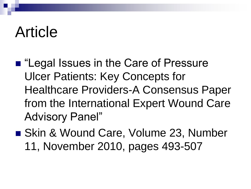#### Article

- "Legal Issues in the Care of Pressure Ulcer Patients: Key Concepts for Healthcare Providers-A Consensus Paper from the International Expert Wound Care Advisory Panel"
- Skin & Wound Care, Volume 23, Number 11, November 2010, pages 493-507